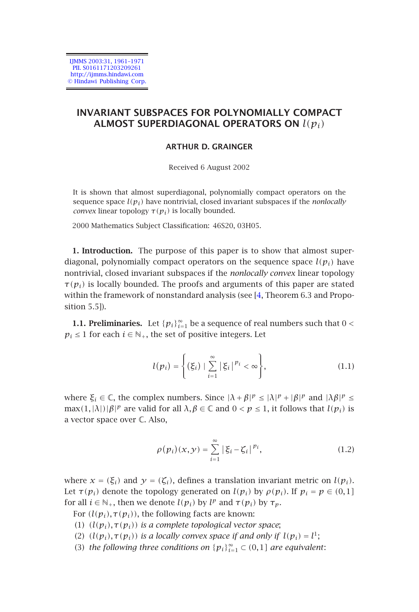IJMMS 2003:31, 1961–1971 PII. S0161171203209261 http://ijmms.hindawi.com © Hindawi Publishing Corp.

# **INVARIANT SUBSPACES FOR POLYNOMIALLY COMPACT ALMOST SUPERDIAGONAL OPERATORS ON** *l(pi)*

### **ARTHUR D. GRAINGER**

Received 6 August 2002

It is shown that almost superdiagonal, polynomially compact operators on the sequence space  $l(p_i)$  have nontrivial, closed invariant [su](#page-10-0)bspaces if the *nonlocally convex* linear topology  $\tau(p_i)$  is locally bounded.

2000 Mathematics Subject Classification: 46S20, 03H05.

**1. Introduction.** The purpose of this paper is to show that almost superdiagonal, polynomially compact operators on the sequence space  $l(p_i)$  have nontrivial, closed invariant subspaces if the *nonlocally convex* linear topology  $\tau(p_i)$  is locally bounded. The proofs and arguments of this paper are stated within the framework of nonstandard analysis (see [4, Theorem 6.3 and Proposition 5.5]).

**1.1. Preliminaries.** Let  ${p_i}_{i=1}^{\infty}$  be a sequence of real numbers such that  $0 <$  $p_i$  ≤ 1 for each  $i$  ∈  $\mathbb{N}_+$ , the set of positive integers. Let

$$
l(p_i) = \left\{ (\xi_i) \mid \sum_{i=1}^{\infty} |\xi_i|^{p_i} < \infty \right\},\tag{1.1}
$$

where  $\xi_i \in \mathbb{C}$ , the complex numbers. Since  $|\lambda + \beta|^p \le |\lambda|^p + |\beta|^p$  and  $|\lambda \beta|^p \le$  $\max(1,|\lambda|)|\beta|^{p}$  are valid for all  $\lambda, \beta \in \mathbb{C}$  and  $0 < p \leq 1$ , it follows that  $l(p_i)$  is a vector space over C. Also,

$$
\rho(p_i)(x, y) = \sum_{i=1}^{\infty} \left| \xi_i - \zeta_i \right|^{p_i}, \tag{1.2}
$$

where  $x = (\xi_i)$  and  $y = (\zeta_i)$ , defines a translation invariant metric on  $l(p_i)$ . Let  $\tau(p_i)$  denote the topology generated on  $l(p_i)$  by  $\rho(p_i)$ . If  $p_i = p \in (0,1]$ for all  $i \in \mathbb{N}_+$ , then we denote  $l(p_i)$  by  $l^p$  and  $\tau(p_i)$  by  $\tau_p$ .

For  $(l(p_i), \tau(p_i))$ , the following facts are known:

- (1) *(l(pi),τ(pi)) is a complete topological vector space*;
- (2)  $(l(p_i), \tau(p_i))$  *is a locally convex space if and only if*  $l(p_i) = l^1$ ;
- (3) *the following three conditions on*  ${p_i}_{i=1}^{\infty} \subset (0,1]$  *are equivalent:*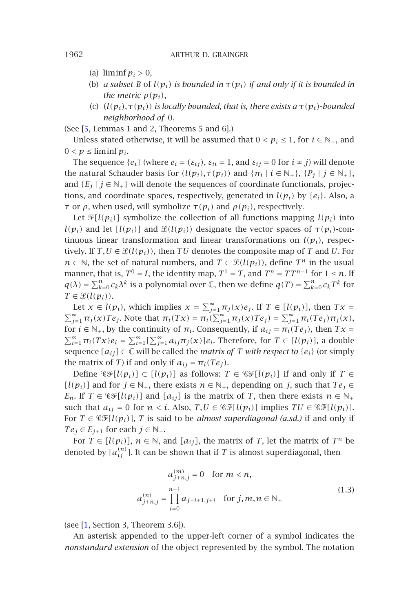- (a) liminf  $p_i > 0$ ,
- (b) *a subset B* of  $l(p_i)$  *is bounded in*  $\tau(p_i)$  *if and only if it is bounded in the metric*  $\rho(p_i)$ ,
- (c) *(l(pi),τ(pi)) is locally bounded, that is, there exists a τ(pi)*-*bounded neighborhood of* 0.

(See [5, Lemmas 1 and 2, Theorems 5 and 6].)

Unless stated otherwise, it will be assumed that  $0 < p_i ≤ 1$ , for  $i ∈ ℕ_+$ , and  $0 < p \leq \liminf p_i$ .

The sequence  $\{e_i\}$  (where  $e_i = (\varepsilon_{ij})$ ,  $\varepsilon_{ii} = 1$ , and  $\varepsilon_{ij} = 0$  for  $i \neq j$ ) will denote the natural Schauder basis for  $(l(p_i), \tau(p_i))$  and  ${\lbrace \pi_i | i \in \mathbb{N}_+ \rbrace}$ ,  $\lbrace P_j | j \in \mathbb{N}_+ \rbrace$ , and  ${E_j | j \in N_+}$  will denote the sequences of coordinate functionals, projections, and coordinate spaces, respectively, generated in  $l(p_i)$  by  $\{e_i\}$ . Also, a *τ* or *ρ*, when used, will symbolize  $τ(p_i)$  and  $ρ(p_i)$ , respectively.

Let  $\mathcal{F}[l(p_i)]$  symbolize the collection of all functions mapping  $l(p_i)$  into  $l(p_i)$  and let  $l(p_i)$ ] and  $\mathcal{L}(l(p_i))$  designate the vector spaces of  $\tau(p_i)$ -continuous linear transformation and linear transformations on  $l(p_i)$ , respectively. If  $T, U \in \mathcal{L}(l(p_i))$ , then  $TU$  denotes the composite map of  $T$  and  $U$ . For *n* ∈  $\mathbb{N}$ , the set of natural numbers, and *T* ∈  $\mathcal{L}(l(p_i))$ , define *T*<sup>*n*</sup> in the usual manner, that is,  $T^0 = I$ , the identity map,  $T^1 = T$ , and  $T^n = TT^{n-1}$  for  $1 \le n$ . If  $q(\lambda) = \sum_{k=0}^{n} c_k \lambda^k$  is a polynomial over  $\mathbb{C}$ , then we define  $q(T) = \sum_{k=0}^{n} c_k T^k$  for  $T \in \mathcal{L}(l(p_i)).$ 

Let  $x \in l(p_i)$ , which implies  $x = \sum_{j=1}^{\infty} \pi_j(x) e_j$ . If  $T \in [l(p_i)]$ , then  $Tx =$  $\sum_{j=1}^{\infty} \pi_j(x) Te_j$ . Note that  $\pi_i(Tx) = \pi_i(\sum_{j=1}^{\infty} \pi_j(x) Te_j) = \sum_{j=1}^{\infty} \pi_i(Te_j)\pi_j(x)$ , for  $i \in \mathbb{N}_+$ , by the continuity of  $\pi_i$ . Consequently, if  $a_{ij} = \pi_i(Te_j)$ , then  $Tx =$  $\sum_{i=1}^{\infty} \pi_i(Tx)e_i = \sum_{i=1}^{\infty} [\sum_{j=1}^{\infty} a_{ij}\pi_j(x)]e_i$ . Therefore, for  $T \in [l(p_i)]$ , a double sequence  $[a_{ij}] \subset \mathbb{C}$  will be called the *matrix of T* with respect to  $\{e_i\}$  (or simply the matrix of *T*) if and only if  $a_{ij} = \pi_i(T e_j)$ .

Define  $\mathscr{C}F[l(p_i)] \subset [l(p_i)]$  as follows: *T* ∈  $\mathscr{C}F[l(p_i)]$  if and only if *T* ∈ *[l(p<sub>i</sub>)*] and for *j* ∈  $\mathbb{N}_+$ , there exists  $n \in \mathbb{N}_+$ , depending on *j*, such that  $Te_j$  ∈ *E<sub>n</sub>*. If  $T \in \mathcal{CF}[l(p_i)]$  and  $[a_{ij}]$  is the matrix of *T*, then there exists  $n \in \mathbb{N}_+$ such that  $a_{ij} = 0$  for  $n < i$ . Also,  $T, U \in \mathcal{CF}[l(p_i)]$  implies  $TU \in \mathcal{CF}[l(p_i)]$ . For  $T \in \mathcal{CF}[l(p_i)]$ , *T* is said to be *almost superdiagonal (a.sd.)* if and only if  $Te_j \in E_{j+1}$  for each  $j \in \mathbb{N}_+$ .

For  $T \in [l(p_i)]$ ,  $n \in \mathbb{N}$ , and  $[a_{ij}]$ , the matrix of *T*, let the matrix of  $T^n$  be denoted by  $[a_{ij}^{(n)}]$ . It can be shown that if  $T$  is almost superdiagonal, then

$$
a_{j+n,j}^{(m)} = 0 \quad \text{for } m < n,
$$
\n
$$
a_{j+n,j}^{(n)} = \prod_{i=0}^{n-1} a_{j+i+1,j+i} \quad \text{for } j, m, n \in \mathbb{N}_+ \tag{1.3}
$$

(see [1, Section 3, Theorem 3.6]).

An asterisk appended to the upper-left corner of a symbol indicates the *nonstandard extension* of the object represented by the symbol. The notation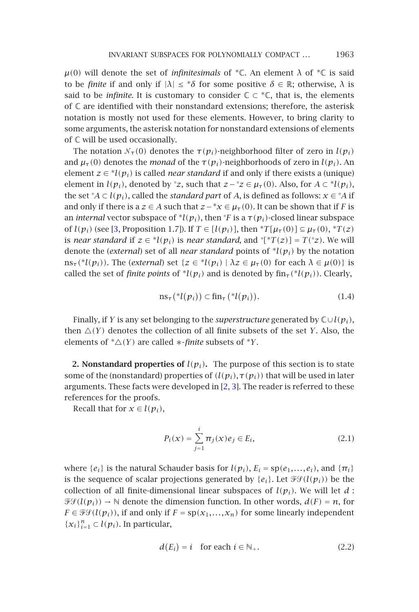*µ*(0*)* will denote the set of *infinitesimals* of <sup>∗</sup>ℂ. An element *λ* of <sup>∗</sup>ℂ is said to be *finite* if and only if  $|λ| ≤ *δ$  for some positive  $δ ∈ ℝ$ ; otherwise,  $λ$  is said to be *infinite*. It is customary to consider  $\mathbb{C} \subset \mathbb{C}$ , that is, the elements of  $\mathbb C$  are identified with their nonstandard extensions; therefore, the asterisk notation is mostly not used for these elements. However, to bring clarity to some argum[en](#page-9-1)ts, the asterisk notation for nonstandard extensions of elements of C will be used occasionally.

The notation  $\mathcal{N}_{\tau}(0)$  denotes the  $\tau(p_i)$ -neighborhood filter of zero in  $l(p_i)$ and  $\mu_{\tau}(0)$  denotes the *monad* of the  $\tau(p_i)$ -neighborhoods of zero in  $l(p_i)$ . An element  $z \in {}^*l(p_i)$  is called *near standard* if and only if there exists a (unique) element in  $l(p_i)$ , denoted by  $\degree z$ , such that  $z - \degree z \in \mu_\tau(0)$ . Also, for  $A \subset \degree l(p_i)$ , the set ° $A \subset l(p_i)$ , called the *standard part* of *A*, is defined as follows:  $x \in {}^{\circ}A$  if and only if there is a  $z \in A$  such that  $z - x \in \mu_\tau(0)$ . It can be shown that if *F* is an *internal* vector subspace of  $^*l(p_i)$ , then  $^{\circ}F$  is a  $\tau(p_i)$ -closed linear subspace of  $l(p_i)$  (see [3, Proposition 1.7]). If  $T \in [l(p_i)]$ , then  ${}^*T[\mu_{\tau}(0)] \subseteq \mu_{\tau}(0)$ ,  ${}^*T(z)$ is *near standard* if  $z \in {}^*l(p_i)$  is *near standard*, and  $\lceil {}^*T(z) \rceil = T({}^*z)$ . We will denote the (*external*) set of all *near standard* points of <sup>∗</sup>*l(pi)* by the notation  $\text{ns}_{\tau}$ <sup>(\*</sup>*l*( $p_i$ )). The (*external*) set { $z \in {}^{*}l(p_i) | \lambda z \in \mu_{\tau}(0)$  for each  $\lambda \in \mu(0)$ } is called the set of *finite points* of  $^*l(p_i)$  and is denoted by  $\text{fin}_{\tau}(\^*l(p_i))$ . Clearly,

$$
\operatorname{ns}_{\tau}({}^*l(p_i)) \subset \operatorname{fin}_{\tau}({}^*l(p_i)).\tag{1.4}
$$

Finally, if *Y* is any set belonging to the *superstructure* generated by C∪*l(pi)*, then  $\Delta(Y)$  denotes the collection of all finite subsets of the set *Y*. Also, the elements of  $*\Delta(Y)$  are called  $*$ -*finite* subsets of  $*Y$ .

**2. Nonstandard properties of**  $l(p_i)$ **.** The purpose of this section is to state some of the (nonstandard) properties of  $(l(p_i), \tau(p_i))$  that will be used in later arguments. These facts were developed in [2, 3]. The reader is referred to these references for the proofs.

Recall that for  $x \in l(p_i)$ ,

$$
P_i(x) = \sum_{j=1}^{i} \pi_j(x) e_j \in E_i,
$$
\n(2.1)

where  $\{e_i\}$  is the natural Schauder basis for  $l(p_i)$ ,  $E_i = sp(e_1, \ldots, e_i)$ , and  $\{\pi_i\}$ is the sequence of scalar projections generated by  $\{e_i\}$ . Let  $\mathcal{F}\mathcal{F}(l(p_i))$  be the collection of all finite-dimensional linear subspaces of  $l(p_i)$ . We will let  $d$ :  $\mathcal{F}(l(p_i)) \rightarrow \mathbb{N}$  denote the dimension function. In other words,  $d(F) = n$ , for  $F \in \mathcal{F}\mathcal{G}(l(p_i))$ , if and only if  $F = sp(x_1,...,x_n)$  for some linearly independent {*xi*}*<sup>n</sup> <sup>i</sup>*=<sup>1</sup> ⊂ *l(pi)*. In particular,

$$
d(E_i) = i \quad \text{for each } i \in \mathbb{N}_+.
$$
 (2.2)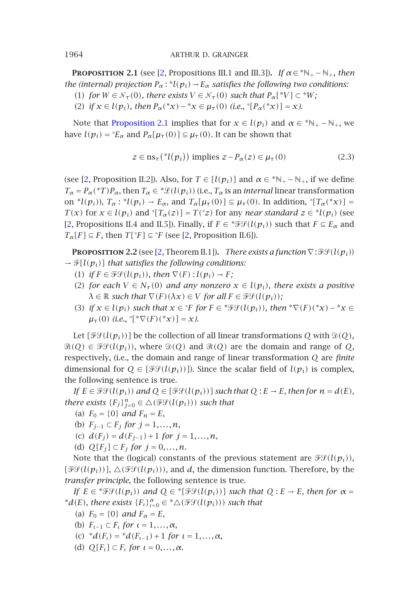**PROPOSITION** 2.1 (see [2, Propositions III.1 and III.3]). *If*  $\alpha \in {}^*\mathbb{N}_+ - \mathbb{N}_+$ , then *the (i[nt](#page-9-2)ernal) projection*  $P_\alpha$ :  $^*l(p_i) \rightarrow E_\alpha$  *satisfies the following two conditions:* 

(1) *for*  $W \in \mathcal{N}_{\tau}(0)$ *, there exists*  $V \in \mathcal{N}_{\tau}(0)$  *such that*  $P_{\alpha}[^{\ast}V] \subset {}^{\ast}W$ *;* 

(2) *if*  $x \in l(p_i)$ *, then*  $P_\alpha({}^*x) - {}^*x \in \mu_\tau(0)$  (*i.e.,*  $\Gamma[\Phi_\alpha({}^*x)] = x$ *).* 

<span id="page-3-0"></span>Note that Proposition 2.1 implies that for  $x \in l(p_i)$  and  $\alpha \in {}^*N_+ - N_+$ , we [ha](#page-9-2)ve  $l(p_i) = {}^{\circ}E_{\alpha}$  and  $P_{\alpha}[\mu_{\tau}(0)] \subseteq \mu_{\tau}(0)$ . It can be shown that

<span id="page-3-1"></span>
$$
z \in \operatorname{ns}_{\tau}({}^*l(p_i)) \text{ implies } z - P_{\alpha}(z) \in \mu_{\tau}(0) \tag{2.3}
$$

(see [2, Proposition II.2]). Also, for  $T \in [l(p_i)]$  and  $\alpha \in {}^*\mathbb{N}_+ - \mathbb{N}_+$ , if we define  $T_\alpha = P_\alpha({}^*T)P_\alpha$ , then  $T_\alpha \in {}^*\mathcal{L}(l(p_i))$  (i.e.,  $T_\alpha$  is an *internal* linear transformation on <sup>\*</sup>*l*(*p<sub>i</sub>*)), *T*<sub>α</sub> : <sup>\*</sup>*l*(*p<sub>i</sub>*) → *E<sub>α</sub>*, and *T<sub>α</sub>*[ $\mu$ <sub>τ</sub>(0)] ⊆  $\mu$ <sub>τ</sub>(0). In addition, °[*T<sub>α</sub>*(<sup>\*</sup>*x*)] = *T*(*x*) for  $x \in l(p_i)$  and  $\lceil T_\alpha(z) \rceil = T({}^\circ z)$  for any *near standard*  $z \in {}^*l(p_i)$  (see [2, Propositions II.4 and II.5]). Finally, if  $F \in \mathscr{F}\mathscr{F}(\mathcal{U}(p_i))$  such that  $F \subseteq E_\alpha$  and *T<sub>α</sub>*[*F*]  $\subseteq$  *F*, then *T*[ $\degree$ *F*]  $\subseteq$   $\degree$ *F* (see [2, Proposition II.6]).

**PROPOSITION 2.2** (see [2, Theorem II.1]). *There exists a function*  $\nabla$ :  $\mathcal{F}\mathcal{G}(l(p_i))$  $\rightarrow \mathcal{F}[l(p_i)]$  *that satisfies the following conditions:* 

- (1) *if*  $F \in \mathcal{F}\mathcal{G}(l(p_i))$ , then  $\nabla(F)$  :  $l(p_i) \rightarrow F$ ;
- (2) *for each*  $V \in N_\tau(0)$  *and any nonzero*  $x \in l(p_i)$ *, there exists a positive*  $\lambda \in \mathbb{R}$  *such that*  $\nabla(F)(\lambda x) \in V$  *for all*  $F \in \mathcal{FF}(l(p_i))$ *;*
- (3) *if*  $x \in l(p_i)$  *such that*  $x \in {}^{\circ}F$  *for*  $F \in {}^* \mathcal{F} \mathcal{F}(l(p_i))$ *, then*  ${}^* \nabla(F)({}^* x) {}^* x \in$  $\mu_{\tau}(0)$  (*i.e.*,  $\int_{-\infty}^{\infty} [f(\tau)(\tau^*x)] = x$ *).*

Let  $[\mathcal{F}\mathcal{G}(l(p_i))]$  be the collection of all linear transformations *Q* with  $\mathcal{D}(Q)$ ,  $\Re(Q) \in \mathcal{FG}(l(p_i))$ , where  $\Im(Q)$  and  $\Re(Q)$  are the domain and range of *Q*, respectively, (i.e., the domain and range of linear transformation *Q* are *finite* dimensional for  $Q \in [\mathcal{FF}(l(p_i))]$ ). Since the scalar field of  $l(p_i)$  is complex, the following sentence is true.

*If E* ∈  $\mathcal{F}\mathcal{F}(l(p_i))$  *and*  $Q$  ∈ [ $\mathcal{F}\mathcal{F}(l(p_i))$ ] *such that*  $Q : E → E$ , *then for*  $n = d(E)$ , *there exists*  ${F_j}_{j=0}^n \in \triangle(\mathcal{FF}(l(p_i)))$  *such that* 

- (a)  $F_0 = \{0\}$  *and*  $F_n = E$ ,
- (b) *Fj*<sup>−</sup><sup>1</sup> ⊂ *Fj for j* = 1*,...,n*,
- (c)  $d(F_i) = d(F_{i-1}) + 1$  *for*  $j = 1, ..., n$ ,
- (d)  $Q[F_j] \subset F_j$  *for*  $j = 0, ..., n$ .

Note that the (logical) constants of the previous statement are  $\mathcal{F}\mathcal{G}(l(p_i))$ ,  $[\mathcal{FG}(l(p_i))]$ ,  $\Delta(\mathcal{FG}(l(p_i)))$ , and *d*, the dimension function. Therefore, by the *transfer principle*, the following sentence is true.

*If*  $E \in {}^* \mathcal{F} \mathcal{G}(l(p_i))$  *and*  $Q \in {}^* [ \mathcal{F} \mathcal{G}(l(p_i))]$  *such that*  $Q : E \to E$ *, then for*  $\alpha =$ \* $d(E)$ , *there exists*  ${F_t}_{t=0}^{\alpha} \in {^*\triangle}(\mathscr{F}\mathscr{G}(l(p_i)))$  *such that* 

- (a)  $F_0 = \{0\}$  *and*  $F_\alpha = E$ ,
- (b) *Fι*<sup>−</sup><sup>1</sup> ⊂ *Fι for ι* = 1*,...,α*,
- (c)  $* d(F_t) = * d(F_{t-1}) + 1$  *for*  $t = 1, ..., \alpha$ ,
- (d)  $Q[F_t] \subset F_t$  *for*  $t = 0, \ldots, \alpha$ .

<span id="page-3-2"></span>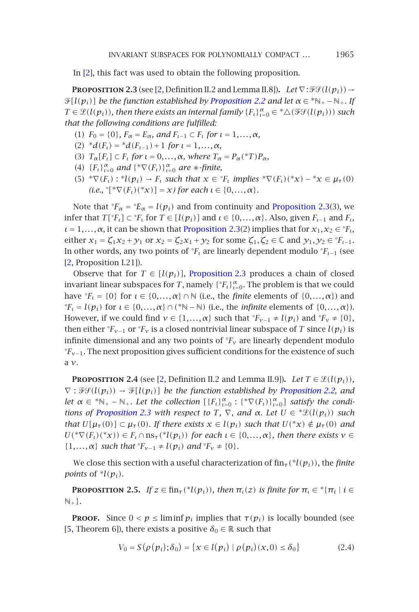<span id="page-4-0"></span>In [2], this fact was used to obtain the following proposition.

**PROPOSITION 2.3** (see [2, Definition II.2 and Lemma II.8]). *Let*  $\nabla$ :  $\mathcal{F}\mathcal{F}(l(p_i)) \rightarrow$  $\mathcal{F}[l(p_i)]$  *be the function established by Proposition 2.2 and let*  $\alpha \in {^*\mathbb{N}_+} - \mathbb{N}_+$ *. If*  $T \in \mathcal{L}(l(p_i))$ , then there exists an internal family  $\{F_t\}_{t=0}^{\alpha} \in {^*\triangle}(\mathcal{FF}(l(p_i)))$  such *that the following conditions are fulfilled:*

- (1)  $F_0 = \{0\}$ ,  $F_\alpha = E_\alpha$ , and  $F_{\iota-1} \subset F_\iota$  [for](#page-4-0)  $\iota = 1, ..., \alpha$ ,
- (2)  ${}^*d(F_t) = {}^*d(F_{t-1}) + 1$  *for*  $t = 1, ..., \alpha$ *,*
- (3)  $T_{\alpha}[F_t] \subset F_t$  *for*  $\iota = 0, \ldots, \alpha$ *, where*  $T_{\alpha} = P_{\alpha}({}^*T)P_{\alpha}$ *,*
- (4)  ${F_t}_{t=0}^{\alpha}$  *and*  ${* \nabla(F_t)}_{t=0}^{\alpha}$  *are*  $*$ *-finite,*
- (5)  ${}^* \nabla(F_t) : {}^* l(p_i) \to F_t$  such that  $x \in {}^{\circ}F_t$  [impl](#page-4-0)ies  ${}^* \nabla(F_t)({}^* x) {}^* x \in \mu_{\tau}(0)$  $(i.e., \degree[^* \nabla (F_t)(*x)] = x$ *)* for each  $\iota \in \{0, ..., \alpha\}$ .

Note that  ${}^{\circ}F_{\alpha} = {}^{\circ}E_{\alpha} = l(p_i)$  and from continuity and Proposition 2.3(3), we infer that  $T[^{\circ}F_{\iota}] \subset {}^{\circ}F_{\iota}$  for  $T \in [l(p_i)]$  and  $\iota \in \{0, ..., \alpha\}$ . Also, given  $F_{\iota-1}$  and  $F_{\iota}$ ,  $\iota = 1, \ldots, \alpha$ , it can be shown that Proposition 2.3(2) implies that for  $x_1, x_2 \in {}^{\circ}F_t$ , either  $x_1 = \zeta_1 x_2 + \gamma_1$  or  $x_2 = \zeta_2 x_1 + \gamma_2$  for some  $\zeta_1, \zeta_2 \in \mathbb{C}$  and  $\gamma_1, \gamma_2 \in {}^{\circ}F_{t-1}$ . In other words, any two points of  ${}^{\circ}F_t$  are linearly dependent modulo  ${}^{\circ}F_{t-1}$  (see [2, Proposition I.21]).

<span id="page-4-1"></span>Observe that for  $T \in [l(p_i)]$ , Proposition 2.3 produces a chain of closed invariant linear [s](#page-9-2)ubspaces [f](#page-9-2)or  $T$ , namely  $\{^{\circ}F_{t}\}_{t=0}^{\alpha}$ . The problem is that we could have  ${}^{\circ}F_{\iota} = \{0\}$  for  $\iota \in \{0, \ldots, \alpha\} \cap \mathbb{N}$  (i.e., the *finite* elements of  $\{0, \ldots, \alpha\}$ ) and <sup>○</sup>*F<sub>ι</sub>* = *l*( $p_i$ ) for *ι* ∈ {0,...,α} ∩ (\*N − N) (i.e., the *infinite* elements of {0,...,α}). Howeve[r, if we could fin](#page-4-0)d  $v \in \{1, ..., \alpha\}$  such that  $\mathcal{F}_{v-1} \neq l(p_i)$  and  $\mathcal{F}_v \neq \{0\}$ , then either  ${}^{\circ}F_{v-1}$  or  ${}^{\circ}F_v$  is a closed nontrivial linear subspace of *T* since  $l(p_i)$  is infinite dimensional and any two points of ◦ *Fν* are linearly dependent modulo ◦ *Fν*−1. The next proposition gives sufficient conditions for the existence of such a *ν*.

<span id="page-4-2"></span>**PROPOSITION 2.4** (see [2, Definition II.2 and Lemma II.9]). *Let*  $T \in \mathcal{L}(l(p_i))$ ,  $\nabla$ :  $\mathcal{F}(l(p_i)) \rightarrow \mathcal{F}[l(p_i)]$  *be the function established by Proposition 2.2, and let*  $\alpha \in {}^*\mathbb{N}_+ - \mathbb{N}_+$ *. Let the collection*  $[\{F_t\}_{t=0}^{\alpha} : {\^*\nabla} (F_t)\}_{t=0}^{\alpha}]$  *satisfy the conditions of Proposition 2.3 with respect to T*,  $\nabla$ *, and*  $\alpha$ *. Let*  $U \in {}^*\mathcal{L}(l(p_i))$  *such that*  $U[\mu_{\tau}(0)] \subset \mu_{\tau}(0)$ *. If there exists*  $x \in l(p_i)$  *such that*  $U({}^*x) \notin \mu_{\tau}(0)$  *and*  $U(^* \nabla(F_t)(^* x)) \in F_t \cap \text{ns}_{\tau}({}^* l(p_i))$  $U(^* \nabla(F_t)(^* x)) \in F_t \cap \text{ns}_{\tau}({}^* l(p_i))$  *for each*  $\iota \in \{0, \ldots, \alpha\}$ *, then there exists*  $\nu \in$ { $1,...,\alpha$ } *such that* ° $F_{\nu-1} \neq l(p_i)$  *and* ° $F_{\nu} \neq \{0\}$ *.* 

We close this section with a useful characterization of  $fin_{\tau}({^*l}(p_i))$ , the *finite points* of  $^*l(p_i)$ .

**PROPOSITION 2.5.** *If*  $z \in \text{fin}_{\tau}({}^*l(p_i))$ *, then*  $\pi_l(z)$  *is finite for*  $\pi_l \in {}^*{\pi_l \mid i \in \mathbb{Z}}$  $\mathbb{N}_+$ .

**PROOF.** Since  $0 < p \leq \liminf p_i$  implies that  $\tau(p_i)$  is locally bounded (see [5, Theorem 6]), there exists a positive  $\delta_0 \in \mathbb{R}$  such that

$$
V_0 = S(\rho(p_i); \delta_0) = \{x \in l(p_i) \mid \rho(p_i)(x, 0) \le \delta_0\}
$$
 (2.4)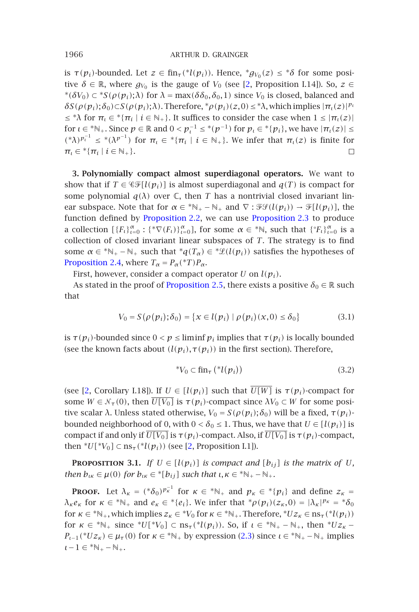is  $\tau(p_i)$ -bounded. Let  $z \in \text{fin}_{\tau}({}^{\ast}l(p_i))$ . Hence,  ${}^{\ast}g_{V_0}(z) \leq {}^{\ast}\delta$  for some positive  $\delta \in \mathbb{R}$ , where  $g_{V_0}$  is the gauge of  $V_0$  (see [2, Proposition I.14]). So,  $z \in$ <sup>\*</sup>( $\delta V_0$ ) ⊂ <sup>\*</sup>S( $\rho$ ( $p_i$ ); $\lambda$ ) for  $\lambda$  = max( $\delta \delta_0$ , $\delta_0$ , 1) since  $V_0$  is closed, balanced and  $\delta S(\rho(p_i); \delta_0) \subset S(\rho(p_i); \lambda)$ . Therefore,  $^* \rho(p_i)(z, 0) \leq ^* \lambda$ , which implies  $|\pi_i(z)|^{p_i}$  $\leq$  \* $\lambda$  for  $\pi_i \in$  \*{ $\pi_i$  |  $i \in \mathbb{N}_+$ }[. It suffic](#page-3-0)es to conside[r the case when](#page-4-0)  $1 \leq |\pi_i(z)|$ for  $\iota \in \mathbb{N}_+$ . Since  $p \in \mathbb{R}$  and  $0 < p^{-1}_\iota \leq \mathbb{N}(p^{-1})$  for  $p_\iota \in \mathbb{N}(p_i)$ , we have  $|\pi_\iota(z)| \leq \iota$ *(*\*λ) $p_i^{-1}$  ≤ \*(λ $p^{-1}$ ) for  $π_i$  ∈ \*{ $π_i$  |  $i$  ∈ N<sub>+</sub>}. We infer that  $π_i(z)$  is finite for  $\pi_i \in {^*} {\{\pi_i \mid i \in \mathbb{N}_+\}.$  $\Box$ 

**[3.](#page-4-1) [Polynomia](#page-4-1)lly compact almost superdiagonal operators.** We want to show that if  $T \in \mathcal{CF}[l(p_i)]$  [is almost supe](#page-4-2)rdiagonal and  $q(T)$  is compact for some polynomial  $q(\lambda)$  over  $\mathbb C$ , then *T* has a nontrivial closed invariant linear subspace. Note that for  $\alpha \in {}^*\mathbb{N}_+ - \mathbb{N}_+$  and  $\nabla : \mathscr{FF}(l(p_i)) \to \mathscr{F}[l(p_i)]$ , the function defined by Proposition 2.2, we can use Proposition 2.3 to produce a collection  $[\{F_t\}_{t=0}^{\alpha} : {\{\nabla F_t\}_{t=0}^{\alpha}}]$ , for some  $\alpha \in {\aleph}$ , such that  ${\{\nabla F_t\}_{t=0}^{\alpha}}$  is a collection of closed invariant linear subspaces of *T*. The strategy is to find some  $\alpha \in {}^*\mathbb{N}_+ - \mathbb{N}_+$  such that  ${}^*\mathfrak{q}(T_\alpha) \in {}^*\mathcal{L}(l(p_i))$  satisfies the hypotheses of Proposition 2.4, where  $T_{\alpha} = P_{\alpha}({}^*T)P_{\alpha}$ .

First, however, consider a compact operator *U* on *l(pi)*.

As stated in the proof of Proposition 2.5, there exists a positive  $\delta_0 \in \mathbb{R}$  such that

$$
V_0 = S(\rho(p_i); \delta_0) = \{x \in l(p_i) \mid \rho(p_i)(x, 0) \le \delta_0\}
$$
 (3.1)

<span id="page-5-0"></span>is  $\tau(p_i)$ -bounded since  $0 < p \leq \liminf p_i$  implies that  $\tau(p_i)$  is locally bounded (see the known facts about  $(l(p_i), \tau(p_i))$  in the first section). Therefore,

$$
^*V_0 \subset \operatorname{fin}_{\tau} \left( ^*l(p_i) \right) \tag{3.2}
$$

(see [2, Corollary I.18]). If  $U \in [l(p_i)]$  such that  $\overline{U[W]}$  is  $\tau(p_i)$ -compact for some  $W \in \mathcal{N}_{\tau}(0)$ , then  $\overline{U[V_0]}$  is  $\tau(p_i)$ -compact since  $\lambda V_0 \subset W$  for some positive scalar *λ*. Unless stated otherwise,  $V_0 = S(\rho(p_i); \delta_0)$  will be a fixed,  $\tau(p_i)$ bounded neighborhood of 0, with  $0 < \delta_0 \leq 1$ . Thus, we have that  $U \in [l(p_i)]$  is compact if and only if  $\overline{U[V_0]}$  is  $\tau(p_i)$ -compact. [Also](#page-3-1), if  $\overline{U[V_0]}$  is  $\tau(p_i)$ -compact, then  $*U[*V_0] \subset \text{ns}_{\tau}(*l(p_i))$  (see [2, Proposition I.1]).

**PROPOSITION** 3.1. If  $U \in [l(p_i)]$  is compact and  $[b_{ij}]$  is the matrix of U, *then*  $b_{\iota\kappa} \in \mu(0)$  *for*  $b_{\iota\kappa} \in {^*}[b_{ij}]$  *such that*  $\iota, \kappa \in {^*}\mathbb{N}_+ - \mathbb{N}_+$ *.* 

**PROOF.** Let  $\lambda_{\kappa} = (*\delta_0)^{p_{\kappa}^{-1}}$  for  $\kappa \in * \mathbb{N}_+$  and  $p_{\kappa} \in * \{p_i\}$  and define  $z_{\kappa} =$ *λ*<sub>*κ*</sub> $e$ <sub>*κ*</sub> for *κ* ∈ <sup>\*</sup>N<sub>+</sub></sub> and  $e$ <sub>*κ*</sub> ∈ <sup>\*</sup>{ $e$ <sub>*i*</sub>}</sub>. We infer that <sup>\*</sup>*ρ*(*p<sub>i</sub>*)( $z$ <sub>*κ*</sub>,0) = | $λ$ <sub>*K*</sub>|*p<sub>K</sub>* = \* $δ$ <sub>0</sub> for  $\kappa \in {^*\mathbb{N}_+}$ , which implies  $z_{\kappa} \in {^*\mathbb{V}_0}$  for  $\kappa \in {^*\mathbb{N}_+}$ . Therefore,  $^*Uz_{\kappa} \in \text{ns}_{\tau}({^*\mathcal{U}(p_i)})$ for  $\kappa \in * \mathbb{N}_+$  since  $*U[*V_0]$  ⊂ ns<sub>τ</sub>( $*l(p_i)$ ). So, if  $\iota \in * \mathbb{N}_+$  –  $\mathbb{N}_+$ , then  $*Uz_{\kappa}$  –  $P_{\iota-1}({}^{\ast}Uz_{\kappa}) \in \mu_{\tau}(0)$  for  $\kappa \in {}^{\ast}\mathbb{N}_+$  by expression (2.3) since  $\iota \in {}^{\ast}\mathbb{N}_+ - \mathbb{N}_+$  implies  $\iota-1 \in {^*N_+} - N_+.$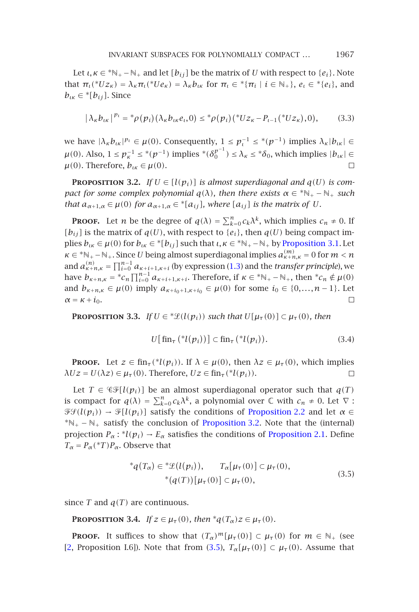<span id="page-6-0"></span>Let  $\iota, \kappa \in {^*N_+} - \mathbb{N}_+$  and let  $[b_{ij}]$  be the matrix of *U* with respect to  $\{e_i\}$ . Note that  $\pi_i({}^*Uz_{\kappa}) = \lambda_{\kappa}\pi_i({}^*Ue_{\kappa}) = \lambda_{\kappa}b_{\kappa}$  for  $\pi_i \in {}^*{\pi_i \mid i \in \mathbb{N}_+}, e_i \in {}^*{e_i},$  and  $b_{i,k} \in {}^* [b_{ij}]$ . Since

$$
|\lambda_{k}b_{lk}|^{p_{l}} = *_{\rho}(p_{i})(\lambda_{k}b_{lk}e_{l},0) \leq *_{\rho}(p_{i})(*Uz_{k}-P_{l-1}(*Uz_{k}),0), \qquad (3.3)
$$

we have  $|\lambda_{\kappa}b_{\iota\kappa}|^{p_{\iota}} \in \mu(0)$ . Consequently,  $1 \leq p_{\iota}^{-1} \leq {}^{*}(p^{-1})$  [implies](#page-5-0)  $\lambda_{\kappa}|b_{\iota\kappa}| \in$  $\mu(0)$ . Also,  $1 \le p_{\kappa}^{-1} \le {^*(p^{-1})}$  implies  ${^*(\delta_0^{p^{-1}})} \le \lambda_{\kappa} \le {^*\delta_0}$ , which implies  $|b_{\iota\kappa}| \in$  $\mu(0)$ . Therefore,  $b_{\mu} \in \mu(0)$ .  $\Box$ 

**PROPOSITION 3.2.** *If*  $U \in [l(p_i)]$  *is almost superdiagonal and*  $q(U)$  *is compact for some complex polynomial*  $q(\lambda)$ *, then there exists*  $\alpha \in {^*\mathbb{N}_+} - \mathbb{N}_+$  *such that*  $a_{\alpha+1,\alpha} \in \mu(0)$  *for*  $a_{\alpha+1,\alpha} \in {}^* [a_{ij}]$ *, where*  $[a_{ij}]$  *is the matrix of U.* 

**PROOF.** Let *n* be the degree of  $q(\lambda) = \sum_{k=0}^{n} c_k \lambda^k$ , which implies  $c_n \neq 0$ . If  $[b_{ij}]$  *is the matrix of*  $q(U)$ *, with respect to*  $\{e_i\}$ *, then*  $q(U)$  *being compact im*plies  $b_{\iota\kappa} \in \mu(0)$  for  $b_{\iota\kappa} \in {}^* [b_{ij}]$  such that  $\iota, \kappa \in {}^* \mathbb{N}_+$  –  $\mathbb{N}_+$  by Proposition 3.1. Let  $\kappa \in \mathbb{N}_+ - \mathbb{N}_+$ . Since *U* being almost superdiagonal implies  $a_{\kappa+n,\kappa}^{(m)} = 0$  for  $m < n$ and  $a_{\kappa+n,\kappa}^{(n)} = \prod_{i=0}^{n-1} a_{\kappa+i+1,\kappa+i}$  (by expression (1.3) and the *transfer principle*), we have  $b_{\kappa+n,\kappa}$  = \* $c_n \prod_{i=0}^{n-1} a_{\kappa+i+1,\kappa+i}$ . Therefore, if  $\kappa \in \kappa_{+}-\mathbb{N}_+$ , then  $\kappa_{n} \notin \mu(0)$ and  $b_{\kappa+n,\kappa} \in \mu(0)$  imply  $a_{\kappa+i_0+1,\kappa+i_0} \in \mu(0)$  for some  $i_0 \in \{0,\ldots,n-1\}$ . Let  $\alpha = \kappa + i_0$ .  $\Box$ 

**PROPOSITION 3.3.** *If*  $U \in {}^*\mathcal{L}(l(p_i))$  such that  $U[\mu_\tau(0)] \subset \mu_\tau(0)$ , then

$$
U[\operatorname{fin}_{\tau}({}^{\ast}l(p_i))] \subset \operatorname{fin}_{\tau}({}^{\ast}l(p_i)). \tag{3.4}
$$

**Proof.** Let  $z \in \text{fin}_{\tau}({}^{\ast}l(p_i))$ . If  $\lambda \in \mu(0)$ , then  $\lambda z \in \mu_{\tau}(0)$ , which implies  $\lambda Uz = U(\lambda z) \in \mu_\tau(0)$ . Therefore,  $Uz \in \text{fin}_{\tau}({}^*l(p_i))$ .  $\Box$ 

<span id="page-6-1"></span>Let  $T \in \mathcal{CF}[l(p_i)]$  be an almost superdiagonal operator such that  $q(T)$ is compact for  $q(\lambda) = \sum_{k=0}^{n} c_k \lambda^k$ , a polynomial over  $\mathbb C$  with  $c_n \neq 0$ . Let  $\nabla$ :  $\mathcal{F}(l(p_i)) \rightarrow \mathcal{F}[l(p_i)]$  satisfy the conditions of Proposition 2.2 and let  $\alpha \in$  $*N_{+} - N_{+}$  satisfy the conclusion of Proposition 3.2. Note that the (internal) projection  $P_\alpha$ : \* $l(p_i) \rightarrow E_\alpha$  satisfies the conditions of Proposition 2.1. Define  $T_{\alpha} = P_{\alpha}({}^{\ast}T)P_{\alpha}$ . Observe that

$$
*q(Tα) ∈ *L(l(pi)), Tα[µτ(0)] ⊂ μτ(0),\n* (q(T)) [µτ(0)] ⊂ μτ(0),
$$
\n(3.5)

since  $T$  and  $q(T)$  are continuous.

**PROPOSITION** 3.4. *If*  $z \in \mu_\tau(0)$ *, then*  $^*q(T_\alpha)z \in \mu_\tau(0)$ *.* 

**PROOF.** It suffices to show that  $(T_\alpha)^m[\mu_\tau(0)] \subset \mu_\tau(0)$  for  $m \in \mathbb{N}_+$  (see [2, Proposition I.6]). Note that from (3.5),  $T_{\alpha}[\mu_{\tau}(0)] \subset \mu_{\tau}(0)$ . Assume that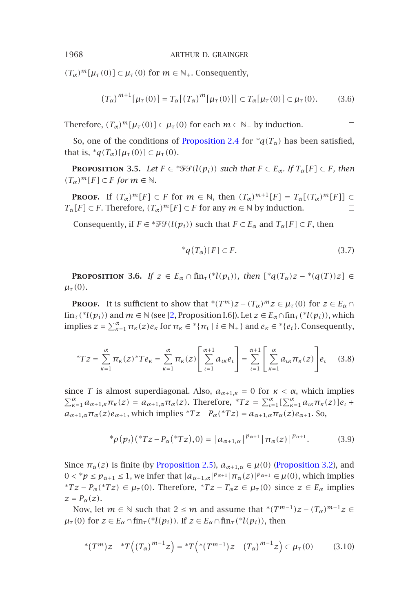$(T_{\alpha})^m[\mu_{\tau}(0)] \subset \mu_{\tau}(0)$  for  $m \in \mathbb{N}_+$ . Consequently,

$$
(T_{\alpha})^{m+1}[\mu_{\tau}(0)] = T_{\alpha}[(T_{\alpha})^{m}[\mu_{\tau}(0)]] \subset T_{\alpha}[\mu_{\tau}(0)] \subset \mu_{\tau}(0). \tag{3.6}
$$

Therefore,  $(T_\alpha)^m[\mu_\tau(0)] \subset \mu_\tau(0)$  for each  $m \in \mathbb{N}_+$  by induction.

So, one of the conditions of Proposition 2.4 for  $*q(T_\alpha)$  has been satisfied, that is,  ${}^*q(T_\alpha)[\mu_\tau(0)] \subset \mu_\tau(0)$ .

<span id="page-7-0"></span>**PROPOSITION** 3.5. *Let*  $F \in \mathcal{F}\mathcal{F}(l(p_i))$  *such that*  $F \subset E_\alpha$ *. If*  $T_\alpha[F] \subset F$ *, then*  $(T_\alpha)^m[F] \subset F$  *for*  $m \in \mathbb{N}$ *.* 

**PROOF.** If  $(T_\alpha)^m[F] \subset F$  for  $m \in \mathbb{N}$ , then  $(T_\alpha)^{m+1}[F] = T_\alpha[(T_\alpha)^m[F]] \subset F$ *T<sub>α</sub>*[*F*]  $\subset$  *F*. Therefore,  $(T_{\alpha})^m$ [*F*]  $\subset$  *F* for any  $m \in \mathbb{N}$  by induction.  $\Box$ 

Consequently, if  $F \in \mathcal{F}\mathcal{F}(l(p_i))$  $F \in \mathcal{F}\mathcal{F}(l(p_i))$  $F \in \mathcal{F}\mathcal{F}(l(p_i))$  such that  $F \subset E_\alpha$  and  $T_\alpha[F] \subset F$ , then

$$
^*q(T_\alpha)[F] \subset F. \tag{3.7}
$$

 $\Box$ 

**PROPOSITION 3.6.** *If*  $z \in E_\alpha \cap \text{fin}_{\tau}({}^{\ast}l(p_i))$ *, then*  $[{}^{\ast}q(T_\alpha)z - {}^{\ast}(q(T))z] \in$ *µτ (*0*).*

**PROOF.** It is sufficient to show that  $*(T^m)z - (T_\alpha)^m z \in \mu_\tau(0)$  for  $z \in E_\alpha \cap$  $fin_{\tau}({^*l}(p_i))$  and  $m \in \mathbb{N}$  (see [2, Proposition I.6]). Let  $z \in E_{\alpha} \cap fin_{\tau}({^*l}(p_i))$ , which implies  $z = \sum_{\kappa=1}^{\alpha} \pi_{\kappa}(z) e_{\kappa}$  for  $\pi_{\kappa} \in {^*{\{\pi_i \mid i \in \mathbb{N}_+\}}$  and  $e_{\kappa} \in {^*{\{e_i\}}}$ . Consequently,

$$
{}^{*}Tz = \sum_{\kappa=1}^{\alpha} \pi_{\kappa}(z) {}^{*}Te_{\kappa} = \sum_{\kappa=1}^{\alpha} \pi_{\kappa}(z) \left[ \sum_{\iota=1}^{\alpha+1} a_{\iota\kappa} e_{\iota} \right] = \sum_{\iota=1}^{\alpha+1} \left[ \sum_{\kappa=1}^{\alpha} a_{\iota\kappa} \pi_{\kappa}(z) \right] e_{\iota} \quad (3.8)
$$

since *T* is almost superdiagonal. Also,  $a_{\alpha+1,k} = 0$  for  $\kappa < \alpha$ , which implies *Σ*<sup>α</sup><sub>*κ*=1</sub> *a*<sub>α+1</sub>,*κ* $π$ <sup>*κ*</sup>(*z*) = *a*<sub>α+1</sub>,α $π$ <sub>α</sub>(*z*). Therefore, \**T z* =  $\sum_{t=1}^{\alpha} [\sum_{k=1}^{\alpha} a_{tk} π$ <sub>*κ*</sub>(*z*)]*e*<sub>*t*</sub> +  $a_{\alpha+1,\alpha}\pi_{\alpha}(z)e_{\alpha+1}$ , which implies \* $Tz-P_{\alpha}(*Tz) = a_{\alpha+1,\alpha}\pi_{\alpha}(z)e_{\alpha+1}$ . So,

$$
{}^{*}\rho(p_{i})({}^{*}Tz-P_{\alpha}({}^{*}Tz),0) = |a_{\alpha+1,\alpha}|^{p_{\alpha+1}}|\pi_{\alpha}(z)|^{p_{\alpha+1}}.
$$
 (3.9)

Since  $\pi_{\alpha}(z)$  is finite (by Proposition 2.5),  $a_{\alpha+1,\alpha} \in \mu(0)$  (Proposition 3.2), and  $0 <^* p \le p_{\alpha+1} \le 1$ , we infer that  $|a_{\alpha+1,\alpha}|^{p_{\alpha+1}} \mid \pi_\alpha(z)|^{p_{\alpha+1}} \in \mu(0)$ , which implies <sup>\*</sup>*Tz* − *P<sub>α</sub>*(\**Tz*) ∈ *µ*<sub>*τ*</sub>(0). Therefore, \**Tz* − *T<sub>α</sub>z* ∈ *μ*<sub>*τ*</sub>(0) since *z* ∈ *E<sub>α</sub>* implies  $z = P_{\alpha}(z)$ .

Now, let  $m \in \mathbb{N}$  such that  $2 \leq m$  and assume that  $*(T^{m-1})z - (T_{\alpha})^{m-1}z \in$  $\mu_{\tau}(0)$  for  $z \in E_{\alpha} \cap \text{fin}_{\tau}({}^{*}l(p_{i}))$ . If  $z \in E_{\alpha} \cap \text{fin}_{\tau}({}^{*}l(p_{i}))$ , then

$$
*(T^m)z - {}^*T((T_\alpha)^{m-1}z) = {}^*T(*(T^{m-1})z - (T_\alpha)^{m-1}z) \in \mu_\tau(0)
$$
(3.10)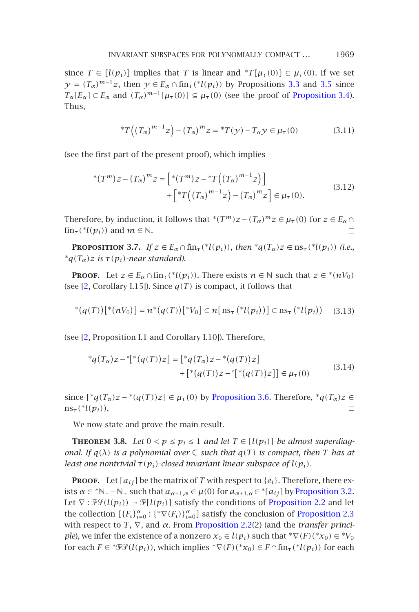since  $T \in [l(p_i)]$  implies that *T* is linear and  ${}^*T[\mu_{\tau}(0)] \subseteq \mu_{\tau}(0)$ . If we set  $\gamma = (T_{\alpha})^{m-1}z$ , then  $\gamma \in E_{\alpha} \cap \text{fin}_{\tau}({}^{*}l(p_i))$  by Propositions 3.3 and 3.5 since  $T_{\alpha}[E_{\alpha}] \subset E_{\alpha}$  and  $(T_{\alpha})^{m-1}[\mu_{\tau}(0)] \subseteq \mu_{\tau}(0)$  (see the proof of Proposition 3.4). Thus,

\*
$$
T((T_{\alpha})^{m-1}z) - (T_{\alpha})^{m}z = {}^{*}T(y) - T_{\alpha}y \in \mu_{\tau}(0)
$$
 (3.11)

(see the first part of the present proof), which implies

$$
*(T^{m})z - (T_{\alpha})^{m}z = [*(T^{m})z - *T((T_{\alpha})^{m-1}z)] + [ *T((T_{\alpha})^{m-1}z) - (T_{\alpha})^{m}z] \in \mu_{\tau}(0).
$$
 (3.12)

Therefore, by induction, it follows that \* $(T^m)z - (T_\alpha)^m z \in \mu_\tau(0)$  for  $z \in E_\alpha \cap$  $\lim_{\tau}$  (\**l*( $p_i$ )) and  $m \in \mathbb{N}$ . П

**PROPOSITION** 3.7. *If*  $z \in E_\alpha \cap \text{fin}_{\tau}({}^*l(p_i))$ *, then*  $^*q(T_\alpha)z \in \text{ns}_{\tau}({}^*l(p_i))$  *(i.e.,*  $*_{q(T_{\alpha})z}$  *is*  $\tau(p_i)$ *-near standard).* 

**PROOF.** Let  $z \in E_\alpha \cap \text{fin}_{\tau}({}^{\ast}l(p_i))$ . There exists  $n \in \mathbb{N}$  such that  $z \in {}^{\ast}(nV_0)$ (see [2, Corollary I.15]). Since  $q(T)$  is compact, it follows that

$$
*(q(T))[*(nV_0)] = n^*(q(T))[*V_0] \subset n[\operatorname{ns}_{\tau}(*l(p_i))] \subset \operatorname{ns}_{\tau}(*l(p_i)) \quad (3.13)
$$

(see [2, Proposition I.1 and Corollary I.10]). Therefore,

$$
{}^{*}q(T_{\alpha})z - {}^{*}[*(q(T))z] = [{}^{*}q(T_{\alpha})z - {}^{*}(q(T))z] + [{}^{*}(q(T))z - {}^{*}[*(q(T))z]] \in \mu_{\tau}(0)
$$
(3.14)

since  $[{}^*q(T_\alpha)z - {}^*(q(T))z] \in \mu_\tau(0)$  by Proposition 3.6. Therefore,  ${}^*q(T_\alpha)z \in$  $ns_{\tau}({}^*l(p_i)).$  $\Box$ 

We now state and prove the mai[n result.](#page-3-0)

**THEOREM** 3.8. Let  $0 < p \leq p_i \leq 1$  and let  $T \in [l(p_i)]$  be almost superdiag*onal. If*  $q(\lambda)$  *is a polynomial over*  $\mathbb C$  *such that*  $q(T)$  *is compact, then*  $T$  *has at least one nontrivial*  $\tau(p_i)$ *-closed invariant linear subspace of*  $l(p_i)$ *.* 

**PROOF.** Let  $[a_{ij}]$  be the matrix of *T* with respect to  $\{e_i\}$ . Therefore, there exists  $\alpha \in {}^*\mathbb{N}_+ - \mathbb{N}_+$  such that  $a_{\alpha+1,\alpha} \in \mu(0)$  for  $a_{\alpha+1,\alpha} \in {}^*[a_{ij}]$  by Proposition 3.2. Let  $\nabla$ :  $\mathcal{F}\mathcal{F}(l(p_i)) \to \mathcal{F}[l(p_i)]$  satisfy the conditions of Proposition 2.2 and let the collection  $[\{F_t\}_{t=0}^{\alpha} : {\{\nabla F_t\}}_{t=0}^{\alpha}]$  satisfy the conclusion of Proposition 2.3 with respect to *T*, ∇, and *α*. From Proposition 2.2(2) (and the *transfer principle*), we infer the existence of a nonzero  $x_0 \in l(p_i)$  such that  ${}^*\nabla(F)({}^*\!x_0) \in {}^*\!V_0$ for each  $F \in {}^* \mathcal{F} \mathcal{G}(l(p_i))$ , which implies  ${}^* \nabla(F)({}^* x_0) \in F \cap \text{fin}_{\tau}({}^* l(p_i))$  for each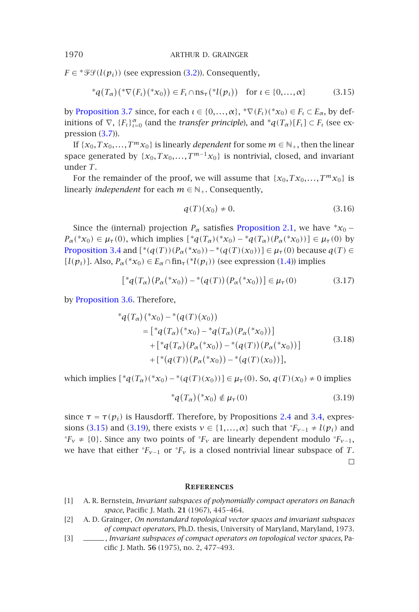$F \in {}^* \mathcal{F} \mathcal{G}(l(p_i))$  (see expression (3.2)). Consequently,

$$
^{\ast}q(T_{\alpha})(^{\ast}\nabla(F_{\iota})(^{\ast}x_{0}))\in F_{\iota}\cap\operatorname{ns}_{\tau}({}^{\ast}l(p_{\iota}))\quad\text{for }\iota\in\{0,\ldots,\alpha\}\tag{3.15}
$$

by Proposition 3.7 since, for each  $\iota \in \{0,\ldots,\alpha\}$ ,  $^*\nabla(F_\iota)(^*\chi_0) \in F_\iota \subset E_\alpha$ , by definitions of  $\nabla$ ,  $\{F_t\}_{t=0}^{\alpha}$  (and the *transfer principle*), and  $^*q(T_{\alpha})[F_t] \subset F_t$  (see expression  $(3.7)$ ).

If  $\{x_0, Tx_0, \ldots, T^m x_0\}$  is linearly *dependent* for some  $m \in \mathbb{N}_+$ , then the linear [space generated](#page-6-1) by  $\{x_0, Tx_0, \ldots, T^{m-1}x_0\}$  is nontrivial, closed, and invariant under *T*.

For the remainder of the proof, we will assume that  $\{x_0, Tx_0, \ldots, T^m x_0\}$  is linearly *independent* for each  $m \in \mathbb{N}_+$ . Consequently,

<span id="page-9-3"></span>
$$
q(T)(x_0) \neq 0. \t\t(3.16)
$$

Since the (internal) projection  $P_\alpha$  satisfies Proposition 2.1, we have  $^*x_0$  −  $P_{\alpha}$ (\**x*<sub>0</sub>) ∈  $\mu_{\tau}$ (0), which implies  $[{}^{*}q(T_{\alpha})({}^{*}x_{0}) - {}^{*}q(T_{\alpha})(P_{\alpha}({}^{*}x_{0}))] \in \mu_{\tau}$ (0) by *Proposition* 3.4 and  $[*(q(T))(P_α(*x_0)) - * (q(T)(x_0))] \in µ_τ(0)$  because  $q(T) \in$  $[l(p_i)]$ . Also,  $P_\alpha(*x_0) \in E_\alpha \cap \text{fin}_{\tau}(*l(p_i))$  (see expression (1.4)) implies

$$
[{}^{*}q(T_{\alpha})(P_{\alpha}({}^{*}x_{0})) - {}^{*}(q(T))(P_{\alpha}({}^{*}x_{0}))] \in \mu_{\tau}(0)
$$
\n(3.17)

by Proposition 3.6. Therefore,

$$
*_{q}(T_{\alpha})(*x_{0}) - *_{q}(T)(x_{0}))
$$
\n
$$
= [{}^{*}_{q}(T_{\alpha})(*x_{0}) - *_{q}(T_{\alpha})(P_{\alpha}(*x_{0}))]
$$
\n
$$
+ [{}^{*}_{q}(T_{\alpha})(P_{\alpha}(*x_{0})) - *_{q}(T)(P_{\alpha}(*x_{0}))]
$$
\n
$$
+ [{}^{*}_{q}(T))(P_{\alpha}(*x_{0})) - *_{q}(T)(x_{0}))],
$$
\n
$$
(3.18)
$$

<span id="page-9-0"></span>which implies  $[{}^*q(T_\alpha)({}^*x_0) - {}^*(q(T)(x_0))]$  ∈  $\mu_\tau$  (0). So, *q*(*T*)(*x*<sub>0</sub>) ≠ 0 implies

$$
*_{q}(T_{\alpha})(*_{X_0}) \notin \mu_{\tau}(0) \tag{3.19}
$$

<span id="page-9-2"></span><span id="page-9-1"></span>since  $\tau = \tau(p_i)$  is Hausdorff. Therefore, by Propositions 2.4 and 3.4, expressions (3.15) and (3.19), there exists  $v \in \{1, ..., \alpha\}$  such that  $\mathcal{F}_{v-1} \neq l(p_i)$  and <sup>o</sup> $F_v$  ≠ {0}. Since any two points of  ${}^{\circ}F_v$  are linearly dependent modulo  ${}^{\circ}F_{v-1}$ , we have that either  ${}^{\circ}F_{v-1}$  or  ${}^{\circ}F_{v}$  is a closed nontrivial linear subspace of *T*.  $\Box$ 

#### **References**

- [1] A. R. Bernstein, *Invariant subspaces of polynomially compact operators on Banach space*, Pacific J. Math. **21** (1967), 445–464.
- [2] A. D. Grainger, *On nonstandard topological vector spaces and invariant subspaces of compact operators*, Ph.D. thesis, University of Maryland, Maryland, 1973.
- [3] , *Invariant subspaces of compact operators on topological vector spaces*, Pacific J. Math. **56** (1975), no. 2, 477–493.